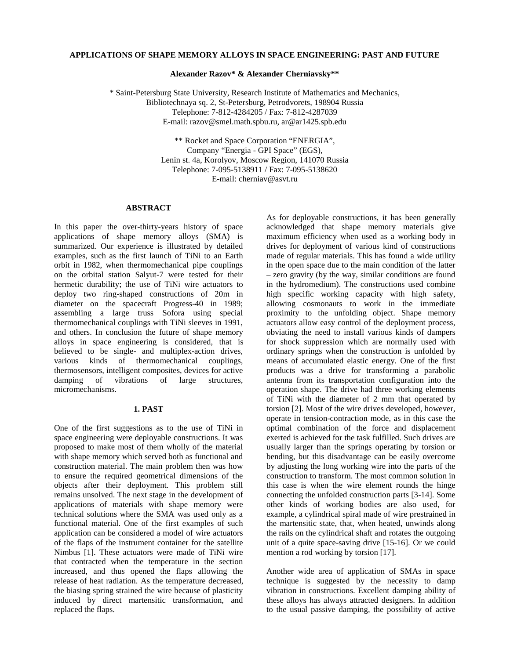# **APPLICATIONS OF SHAPE MEMORY ALLOYS IN SPACE ENGINEERING: PAST AND FUTURE**

**Alexander Razov\* & Alexander Cherniavsky\*\***

\* Saint-Petersburg State University, Research Institute of Mathematics and Mechanics, Bibliotechnaya sq. 2, St-Petersburg, Petrodvorets, 198904 Russia Telephone: 7-812-4284205 / Fax: 7-812-4287039 E-mail: razov@smel.math.spbu.ru, ar@ar1425.spb.edu

> \*\* Rocket and Space Corporation "ENERGIA", Company "Energia - GPI Space" (EGS), Lenin st. 4a, Korolyov, Moscow Region, 141070 Russia Telephone: 7-095-5138911 / Fax: 7-095-5138620 E-mail: cherniav@asvt.ru

### **ABSTRACT**

In this paper the over-thirty-years history of space applications of shape memory alloys (SMA) is summarized. Our experience is illustrated by detailed examples, such as the first launch of TiNi to an Earth orbit in 1982, when thermomechanical pipe couplings on the orbital station Salyut-7 were tested for their hermetic durability; the use of TiNi wire actuators to deploy two ring-shaped constructions of 20m in diameter on the spacecraft Progress-40 in 1989; assembling a large truss Sofora using special thermomechanical couplings with TiNi sleeves in 1991, and others. In conclusion the future of shape memory alloys in space engineering is considered, that is believed to be single- and multiplex-action drives, various kinds of thermomechanical couplings, thermosensors, intelligent composites, devices for active damping of vibrations of large structures, micromechanisms.

### **1. PAST**

One of the first suggestions as to the use of TiNi in space engineering were deployable constructions. It was proposed to make most of them wholly of the material with shape memory which served both as functional and construction material. The main problem then was how to ensure the required geometrical dimensions of the objects after their deployment. This problem still remains unsolved. The next stage in the development of applications of materials with shape memory were technical solutions where the SMA was used only as a functional material. One of the first examples of such application can be considered a model of wire actuators of the flaps of the instrument container for the satellite Nimbus [1]. These actuators were made of TiNi wire that contracted when the temperature in the section increased, and thus opened the flaps allowing the release of heat radiation. As the temperature decreased, the biasing spring strained the wire because of plasticity induced by direct martensitic transformation, and replaced the flaps.

As for deployable constructions, it has been generally acknowledged that shape memory materials give maximum efficiency when used as a working body in drives for deployment of various kind of constructions made of regular materials. This has found a wide utility in the open space due to the main condition of the latter – zero gravity (by the way, similar conditions are found in the hydromedium). The constructions used combine high specific working capacity with high safety, allowing cosmonauts to work in the immediate proximity to the unfolding object. Shape memory actuators allow easy control of the deployment process, obviating the need to install various kinds of dampers for shock suppression which are normally used with ordinary springs when the construction is unfolded by means of accumulated elastic energy. One of the first products was a drive for transforming a parabolic antenna from its transportation configuration into the operation shape. The drive had three working elements of TiNi with the diameter of 2 mm that operated by torsion [2]. Most of the wire drives developed, however, operate in tension-contraction mode, as in this case the optimal combination of the force and displacement exerted is achieved for the task fulfilled. Such drives are usually larger than the springs operating by torsion or bending, but this disadvantage can be easily overcome by adjusting the long working wire into the parts of the construction to transform. The most common solution in this case is when the wire element rounds the hinge connecting the unfolded construction parts [3-14]. Some other kinds of working bodies are also used, for example, a cylindrical spiral made of wire prestrained in the martensitic state, that, when heated, unwinds along the rails on the cylindrical shaft and rotates the outgoing unit of a quite space-saving drive [15-16]. Or we could mention a rod working by torsion [17].

Another wide area of application of SMAs in space technique is suggested by the necessity to damp vibration in constructions. Excellent damping ability of these alloys has always attracted designers. In addition to the usual passive damping, the possibility of active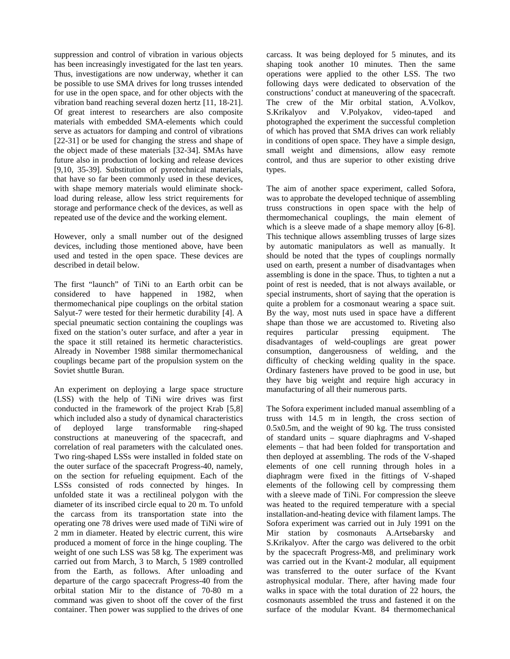suppression and control of vibration in various objects has been increasingly investigated for the last ten years. Thus, investigations are now underway, whether it can be possible to use SMA drives for long trusses intended for use in the open space, and for other objects with the vibration band reaching several dozen hertz [11, 18-21]. Of great interest to researchers are also composite materials with embedded SMA-elements which could serve as actuators for damping and control of vibrations [22-31] or be used for changing the stress and shape of the object made of these materials [32-34]. SMAs have future also in production of locking and release devices [9,10, 35-39]. Substitution of pyrotechnical materials, that have so far been commonly used in these devices, with shape memory materials would eliminate shockload during release, allow less strict requirements for storage and performance check of the devices, as well as repeated use of the device and the working element.

However, only a small number out of the designed devices, including those mentioned above, have been used and tested in the open space. These devices are described in detail below.

The first "launch" of TiNi to an Earth orbit can be considered to have happened in 1982, when thermomechanical pipe couplings on the orbital station Salyut-7 were tested for their hermetic durability [4]. A special pneumatic section containing the couplings was fixed on the station's outer surface, and after a year in the space it still retained its hermetic characteristics. Already in November 1988 similar thermomechanical couplings became part of the propulsion system on the Soviet shuttle Buran.

An experiment on deploying a large space structure (LSS) with the help of TiNi wire drives was first conducted in the framework of the project Krab [5,8] which included also a study of dynamical characteristics of deployed large transformable ring-shaped constructions at maneuvering of the spacecraft, and correlation of real parameters with the calculated ones. Two ring-shaped LSSs were installed in folded state on the outer surface of the spacecraft Progress-40, namely, on the section for refueling equipment. Each of the LSSs consisted of rods connected by hinges. In unfolded state it was a rectilineal polygon with the diameter of its inscribed circle equal to 20 m. To unfold the carcass from its transportation state into the operating one 78 drives were used made of TiNi wire of 2 mm in diameter. Heated by electric current, this wire produced a moment of force in the hinge coupling. The weight of one such LSS was 58 kg. The experiment was carried out from March, 3 to March, 5 1989 controlled from the Earth, as follows. After unloading and departure of the cargo spacecraft Progress-40 from the orbital station Mir to the distance of 70-80 m a command was given to shoot off the cover of the first container. Then power was supplied to the drives of one

carcass. It was being deployed for 5 minutes, and its shaping took another 10 minutes. Then the same operations were applied to the other LSS. The two following days were dedicated to observation of the constructions' conduct at maneuvering of the spacecraft. The crew of the Mir orbital station, A.Volkov, S.Krikalyov and V.Polyakov, video-taped and photographed the experiment the successful completion of which has proved that SMA drives can work reliably in conditions of open space. They have a simple design, small weight and dimensions, allow easy remote control, and thus are superior to other existing drive types.

The aim of another space experiment, called Sofora, was to approbate the developed technique of assembling truss constructions in open space with the help of thermomechanical couplings, the main element of which is a sleeve made of a shape memory alloy [6-8]. This technique allows assembling trusses of large sizes by automatic manipulators as well as manually. It should be noted that the types of couplings normally used on earth, present a number of disadvantages when assembling is done in the space. Thus, to tighten a nut a point of rest is needed, that is not always available, or special instruments, short of saying that the operation is quite a problem for a cosmonaut wearing a space suit. By the way, most nuts used in space have a different shape than those we are accustomed to. Riveting also requires particular pressing equipment. The requires particular pressing equipment. The disadvantages of weld-couplings are great power consumption, dangerousness of welding, and the difficulty of checking welding quality in the space. Ordinary fasteners have proved to be good in use, but they have big weight and require high accuracy in manufacturing of all their numerous parts.

The Sofora experiment included manual assembling of a truss with 14.5 m in length, the cross section of 0.5x0.5m, and the weight of 90 kg. The truss consisted of standard units – square diaphragms and V-shaped elements – that had been folded for transportation and then deployed at assembling. The rods of the V-shaped elements of one cell running through holes in a diaphragm were fixed in the fittings of V-shaped elements of the following cell by compressing them with a sleeve made of TiNi. For compression the sleeve was heated to the required temperature with a special installation-and-heating device with filament lamps. The Sofora experiment was carried out in July 1991 on the Mir station by cosmonauts A.Artsebarsky and S.Krikalyov. After the cargo was delivered to the orbit by the spacecraft Progress-M8, and preliminary work was carried out in the Kvant-2 modular, all equipment was transferred to the outer surface of the Kvant astrophysical modular. There, after having made four walks in space with the total duration of 22 hours, the cosmonauts assembled the truss and fastened it on the surface of the modular Kvant. 84 thermomechanical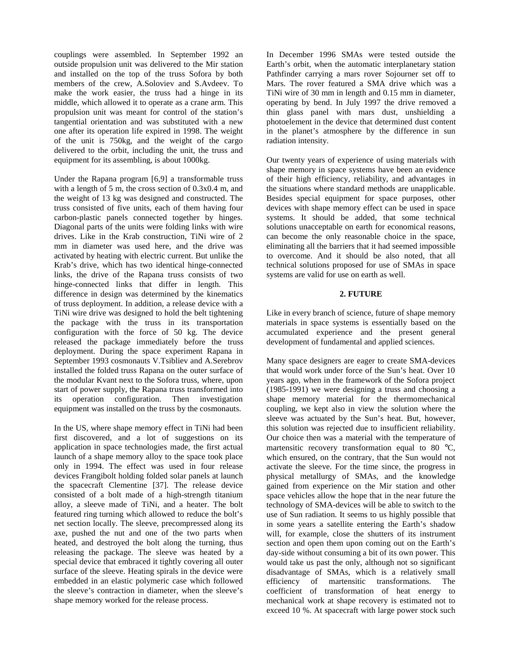couplings were assembled. In September 1992 an outside propulsion unit was delivered to the Mir station and installed on the top of the truss Sofora by both members of the crew, A.Soloviev and S.Avdeev. To make the work easier, the truss had a hinge in its middle, which allowed it to operate as a crane arm. This propulsion unit was meant for control of the station's tangential orientation and was substituted with a new one after its operation life expired in 1998. The weight of the unit is 750kg, and the weight of the cargo delivered to the orbit, including the unit, the truss and equipment for its assembling, is about 1000kg.

Under the Rapana program [6,9] a transformable truss with a length of 5 m, the cross section of 0.3x0.4 m, and the weight of 13 kg was designed and constructed. The truss consisted of five units, each of them having four carbon-plastic panels connected together by hinges. Diagonal parts of the units were folding links with wire drives. Like in the Krab construction, TiNi wire of 2 mm in diameter was used here, and the drive was activated by heating with electric current. But unlike the Krab's drive, which has two identical hinge-connected links, the drive of the Rapana truss consists of two hinge-connected links that differ in length. This difference in design was determined by the kinematics of truss deployment. In addition, a release device with a TiNi wire drive was designed to hold the belt tightening the package with the truss in its transportation configuration with the force of 50 kg. The device released the package immediately before the truss deployment. During the space experiment Rapana in September 1993 cosmonauts V.Tsibliev and A.Serebrov installed the folded truss Rapana on the outer surface of the modular Kvant next to the Sofora truss, where, upon start of power supply, the Rapana truss transformed into its operation configuration. Then investigation equipment was installed on the truss by the cosmonauts.

In the US, where shape memory effect in TiNi had been first discovered, and a lot of suggestions on its application in space technologies made, the first actual launch of a shape memory alloy to the space took place only in 1994. The effect was used in four release devices Frangibolt holding folded solar panels at launch the spacecraft Clementine [37]. The release device consisted of a bolt made of a high-strength titanium alloy, a sleeve made of TiNi, and a heater. The bolt featured ring turning which allowed to reduce the bolt's net section locally. The sleeve, precompressed along its axe, pushed the nut and one of the two parts when heated, and destroyed the bolt along the turning, thus releasing the package. The sleeve was heated by a special device that embraced it tightly covering all outer surface of the sleeve. Heating spirals in the device were embedded in an elastic polymeric case which followed the sleeve's contraction in diameter, when the sleeve's shape memory worked for the release process.

In December 1996 SMAs were tested outside the Earth's orbit, when the automatic interplanetary station Pathfinder carrying a mars rover Sojourner set off to Mars. The rover featured a SMA drive which was a TiNi wire of 30 mm in length and 0.15 mm in diameter, operating by bend. In July 1997 the drive removed a thin glass panel with mars dust, unshielding a photoelement in the device that determined dust content in the planet's atmosphere by the difference in sun radiation intensity.

Our twenty years of experience of using materials with shape memory in space systems have been an evidence of their high efficiency, reliability, and advantages in the situations where standard methods are unapplicable. Besides special equipment for space purposes, other devices with shape memory effect can be used in space systems. It should be added, that some technical solutions unacceptable on earth for economical reasons, can become the only reasonable choice in the space, eliminating all the barriers that it had seemed impossible to overcome. And it should be also noted, that all technical solutions proposed for use of SMAs in space systems are valid for use on earth as well.

# **2. FUTURE**

Like in every branch of science, future of shape memory materials in space systems is essentially based on the accumulated experience and the present general development of fundamental and applied sciences.

Many space designers are eager to create SMA-devices that would work under force of the Sun's heat. Over 10 years ago, when in the framework of the Sofora project (1985-1991) we were designing a truss and choosing a shape memory material for the thermomechanical coupling, we kept also in view the solution where the sleeve was actuated by the Sun's heat. But, however, this solution was rejected due to insufficient reliability. Our choice then was a material with the temperature of martensitic recovery transformation equal to 80 °C, which ensured, on the contrary, that the Sun would not activate the sleeve. For the time since, the progress in physical metallurgy of SMAs, and the knowledge gained from experience on the Mir station and other space vehicles allow the hope that in the near future the technology of SMA-devices will be able to switch to the use of Sun radiation. It seems to us highly possible that in some years a satellite entering the Earth's shadow will, for example, close the shutters of its instrument section and open them upon coming out on the Earth's day-side without consuming a bit of its own power. This would take us past the only, although not so significant disadvantage of SMAs, which is a relatively small efficiency of martensitic transformations. The coefficient of transformation of heat energy to mechanical work at shape recovery is estimated not to exceed 10 %. At spacecraft with large power stock such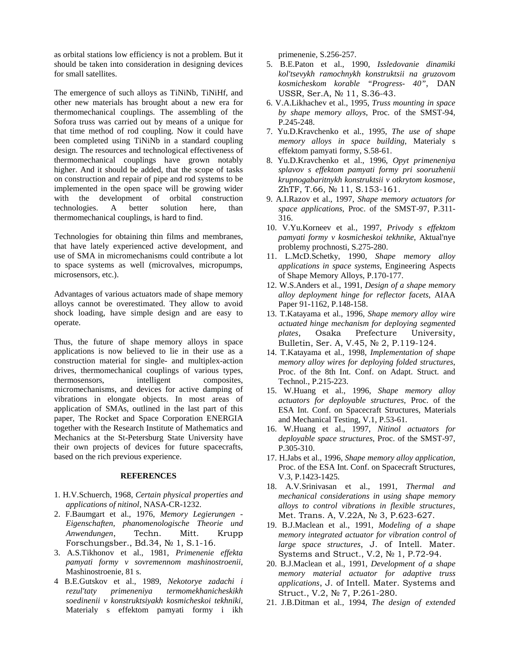as orbital stations low efficiency is not a problem. But it should be taken into consideration in designing devices for small satellites.

The emergence of such alloys as TiNiNb, TiNiHf, and other new materials has brought about a new era for thermomechanical couplings. The assembling of the Sofora truss was carried out by means of a unique for that time method of rod coupling. Now it could have been completed using TiNiNb in a standard coupling design. The resources and technological effectiveness of thermomechanical couplings have grown notably higher. And it should be added, that the scope of tasks on construction and repair of pipe and rod systems to be implemented in the open space will be growing wider with the development of orbital construction technologies. A better solution here, than thermomechanical couplings, is hard to find.

Technologies for obtaining thin films and membranes, that have lately experienced active development, and use of SMA in micromechanisms could contribute a lot to space systems as well (microvalves, micropumps, microsensors, etc.).

Advantages of various actuators made of shape memory alloys cannot be overestimated. They allow to avoid shock loading, have simple design and are easy to operate.

Thus, the future of shape memory alloys in space applications is now believed to lie in their use as a construction material for single- and multiplex-action drives, thermomechanical couplings of various types, thermosensors, intelligent composites, micromechanisms, and devices for active damping of vibrations in elongate objects. In most areas of application of SMAs, outlined in the last part of this paper, The Rocket and Space Corporation ENERGIA together with the Research Institute of Mathematics and Mechanics at the St-Petersburg State University have their own projects of devices for future spacecrafts, based on the rich previous experience.

### **REFERENCES**

- 1. H.V.Schuerch, 1968, *Certain physical properties and applications of nitinol*, NASA-CR-1232.
- 2. F.Baumgart et al., 1976, *Memory Legierungen - Eigenschaften, phanomenologische Theorie und Anwendungen*, Techn. Mitt. Krupp Forschungsber., Bd.34,  $N<sub>2</sub>$  1, S.1-16.
- 3. A.S.Tikhonov et al., 1981, *Primenenie effekta pamyati formy v sovremennom mashinostroenii*, Mashinostroenie, 81 s.
- 4 B.E.Gutskov et al., 1989, *Nekotorye zadachi i rezul'taty primeneniya termomekhanicheskikh soedinenii v konstruktsiyakh kosmicheskoi tekhniki*, Materialy s effektom pamyati formy i ikh

primenenie, S.256-257.

- 5. B.E.Paton et al., 1990, *Issledovanie dinamiki kol'tsevykh ramochnykh konstruktsii na gruzovom kosmicheskom korable "Progress- 40"*, DAN USSR, Ser.A, No 11, S.36-43.
- 6. V.A.Likhachev et al., 1995, *Truss mounting in space by shape memory alloys*, Proc. of the SMST-94, P.245-248.
- 7. Yu.D.Kravchenko et al., 1995, *The use of shape memory alloys in space building*, Materialy s effektom pamyati formy, S.58-61.
- 8. Yu.D.Kravchenko et al., 1996, *Opyt primeneniya splavov s effektom pamyati formy pri sooruzhenii krupnogabaritnykh konstruktsii v otkrytom kosmose*/ ZhTF, T.66,  $N_2$  11, S.153-161.
- 9. A.I.Razov et al., 1997, *Shape memory actuators for space applications*, Proc. of the SMST-97, P.311- 316.
- 10. V.Yu.Korneev et al., 1997, *Privody s effektom pamyati formy v kosmicheskoi tekhnike*, Aktual'nye problemy prochnosti, S.275-280.
- 11. L.McD.Schetky, 1990, *Shape memory alloy applications in space systems*, Engineering Aspects of Shape Memory Alloys, P.170-177.
- 12. W.S.Anders et al., 1991, *Design of a shape memory alloy deployment hinge for reflector facets*, AIAA Paper 91-1162, P.148-158.
- 13. T.Katayama et al., 1996, *Shape memory alloy wire actuated hinge mechanism for deploying segmented plates*, Osaka Prefecture University, Bulletin, Ser. A, V.45, No 2, P.119-124.
- 14. T.Katayama et al., 1998, *Implementation of shape memory alloy wires for deploying folded structures*, Proc. of the 8th Int. Conf. on Adapt. Struct. and Technol., P.215-223.
- 15. W.Huang et al., 1996, *Shape memory alloy actuators for deployable structures*, Proc. of the ESA Int. Conf. on Spacecraft Structures, Materials and Mechanical Testing, V.1, P.53-61.
- 16. W.Huang et al., 1997, *Nitinol actuators for deployable space structures*, Proc. of the SMST-97, P.305-310.
- 17. H.Jabs et al., 1996, *Shape memory alloy application*, Proc. of the ESA Int. Conf. on Spacecraft Structures, V.3, P.1423-1425.
- 18. A.V.Srinivasan et al., 1991, *Thermal and mechanical considerations in using shape memory* alloys to control vibrations in flexible structures, Met. Trans. A, V.22A, No 3, P.623-627.
- 19. B.J.Maclean et al., 1991, *Modeling of a shape memory integrated actuator for vibration control of large space structures*, J. of Intell. Mater. Systems and Struct., V.2,  $N<sub>2</sub>$  1, P.72-94.
- 20. B.J.Maclean et al., 1991, *Development of a shape memory material actuator for adaptive truss applications*, J. of Intell. Mater. Systems and Struct., V.2, № 7, P.261-280.
- 21. J.B.Ditman et al., 1994, *The design of extended*